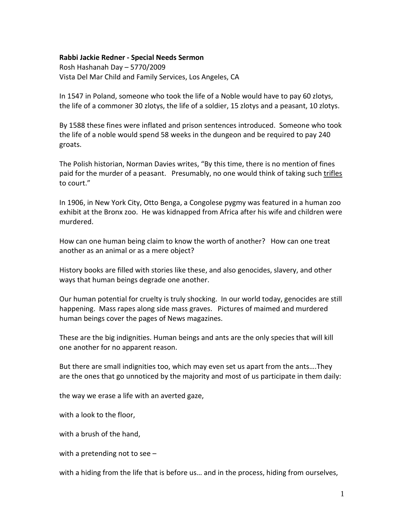## **Rabbi Jackie Redner - Special Needs Sermon**

Rosh Hashanah Day – 5770/2009 Vista Del Mar Child and Family Services, Los Angeles, CA

In 1547 in Poland, someone who took the life of a Noble would have to pay 60 zlotys, the life of a commoner 30 zlotys, the life of a soldier, 15 zlotys and a peasant, 10 zlotys.

By 1588 these fines were inflated and prison sentences introduced. Someone who took the life of a noble would spend 58 weeks in the dungeon and be required to pay 240 groats.

The Polish historian, Norman Davies writes, "By this time, there is no mention of fines paid for the murder of a peasant. Presumably, no one would think of taking such trifles to court."

In 1906, in New York City, Otto Benga, a Congolese pygmy was featured in a human zoo exhibit at the Bronx zoo. He was kidnapped from Africa after his wife and children were murdered.

How can one human being claim to know the worth of another? How can one treat another as an animal or as a mere object?

History books are filled with stories like these, and also genocides, slavery, and other ways that human beings degrade one another.

Our human potential for cruelty is truly shocking. In our world today, genocides are still happening. Mass rapes along side mass graves. Pictures of maimed and murdered human beings cover the pages of News magazines.

These are the big indignities. Human beings and ants are the only species that will kill one another for no apparent reason.

But there are small indignities too, which may even set us apart from the ants….They are the ones that go unnoticed by the majority and most of us participate in them daily:

the way we erase a life with an averted gaze,

with a look to the floor,

with a brush of the hand,

with a pretending not to see –

with a hiding from the life that is before us… and in the process, hiding from ourselves,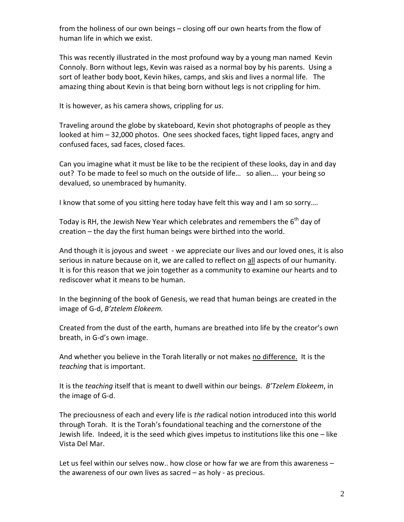from the holiness of our own beings – closing off our own hearts from the flow of human life in which we exist.

This was recently illustrated in the most profound way by a young man named Kevin Connoly. Born without legs, Kevin was raised as a normal boy by his parents. Using a sort of leather body boot, Kevin hikes, camps, and skis and lives a normal life. The amazing thing about Kevin is that being born without legs is not crippling for him.

It is however, as his camera shows, crippling for *us*.

Traveling around the globe by skateboard, Kevin shot photographs of people as they looked at him – 32,000 photos. One sees shocked faces, tight lipped faces, angry and confused faces, sad faces, closed faces.

Can you imagine what it must be like to be the recipient of these looks, day in and day out? To be made to feel so much on the outside of life… so alien…. your being so devalued, so unembraced by humanity.

I know that some of you sitting here today have felt this way and I am so sorry….

Today is RH, the Jewish New Year which celebrates and remembers the  $6<sup>th</sup>$  day of creation – the day the first human beings were birthed into the world.

And though it is joyous and sweet - we appreciate our lives and our loved ones, it is also serious in nature because on it, we are called to reflect on all aspects of our humanity. It is for this reason that we join together as a community to examine our hearts and to rediscover what it means to be human.

In the beginning of the book of Genesis, we read that human beings are created in the image of G-d, *B'ztelem Elokeem.* 

Created from the dust of the earth, humans are breathed into life by the creator's own breath, in G-d's own image.

And whether you believe in the Torah literally or not makes no difference. It is the *teaching* that is important.

It is the *teaching* itself that is meant to dwell within our beings. *B'Tzelem Elokeem*, in the image of G-d.

The preciousness of each and every life is *the* radical notion introduced into this world through Torah. It is the Torah's foundational teaching and the cornerstone of the Jewish life. Indeed, it is the seed which gives impetus to institutions like this one – like Vista Del Mar.

Let us feel within our selves now.. how close or how far we are from this awareness – the awareness of our own lives as sacred – as holy - as precious.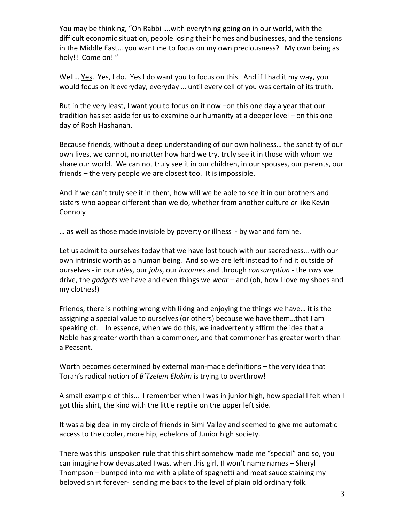You may be thinking, "Oh Rabbi ….with everything going on in our world, with the difficult economic situation, people losing their homes and businesses, and the tensions in the Middle East… you want me to focus on my own preciousness? My own being as holy!! Come on!"

Well… Yes. Yes, I do. Yes I do want you to focus on this. And if I had it my way, you would focus on it everyday, everyday … until every cell of you was certain of its truth.

But in the very least, I want you to focus on it now –on this one day a year that our tradition has set aside for us to examine our humanity at a deeper level – on this one day of Rosh Hashanah.

Because friends, without a deep understanding of our own holiness… the sanctity of our own lives, we cannot, no matter how hard we try, truly see it in those with whom we share our world. We can not truly see it in our children, in our spouses, our parents, our friends – the very people we are closest too. It is impossible.

And if we can't truly see it in them, how will we be able to see it in our brothers and sisters who appear different than we do, whether from another culture *or* like Kevin Connoly

… as well as those made invisible by poverty or illness - by war and famine.

Let us admit to ourselves today that we have lost touch with our sacredness… with our own intrinsic worth as a human being. And so we are left instead to find it outside of ourselves - in our *titles*, our *jobs*, our *incomes* and through *consumption* - the *cars* we drive, the *gadgets* we have and even things we *wear* – and (oh, how I love my shoes and my clothes!)

Friends, there is nothing wrong with liking and enjoying the things we have… it is the assigning a special value to ourselves (or others) because we have them…that I am speaking of. In essence, when we do this, we inadvertently affirm the idea that a Noble has greater worth than a commoner, and that commoner has greater worth than a Peasant.

Worth becomes determined by external man-made definitions – the very idea that Torah's radical notion of *B'Tzelem Elokim* is trying to overthrow!

A small example of this… I remember when I was in junior high, how special I felt when I got this shirt, the kind with the little reptile on the upper left side.

It was a big deal in my circle of friends in Simi Valley and seemed to give me automatic access to the cooler, more hip, echelons of Junior high society.

There was this unspoken rule that this shirt somehow made me "special" and so, you can imagine how devastated I was, when this girl, (I won't name names – Sheryl Thompson – bumped into me with a plate of spaghetti and meat sauce staining my beloved shirt forever- sending me back to the level of plain old ordinary folk.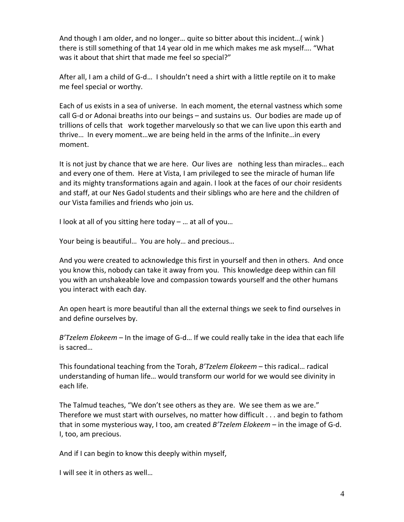And though I am older, and no longer… quite so bitter about this incident…( wink ) there is still something of that 14 year old in me which makes me ask myself…. "What was it about that shirt that made me feel so special?"

After all, I am a child of G-d… I shouldn't need a shirt with a little reptile on it to make me feel special or worthy.

Each of us exists in a sea of universe. In each moment, the eternal vastness which some call G-d or Adonai breaths into our beings – and sustains us. Our bodies are made up of trillions of cells that work together marvelously so that we can live upon this earth and thrive… In every moment…we are being held in the arms of the Infinite…in every moment.

It is not just by chance that we are here. Our lives are nothing less than miracles… each and every one of them. Here at Vista, I am privileged to see the miracle of human life and its mighty transformations again and again. I look at the faces of our choir residents and staff, at our Nes Gadol students and their siblings who are here and the children of our Vista families and friends who join us.

I look at all of you sitting here today – … at all of you…

Your being is beautiful… You are holy… and precious…

And you were created to acknowledge this first in yourself and then in others. And once you know this, nobody can take it away from you. This knowledge deep within can fill you with an unshakeable love and compassion towards yourself and the other humans you interact with each day.

An open heart is more beautiful than all the external things we seek to find ourselves in and define ourselves by.

*B'Tzelem Elokeem* – In the image of G-d… If we could really take in the idea that each life is sacred…

This foundational teaching from the Torah, *B'Tzelem Elokeem* – this radical… radical understanding of human life… would transform our world for we would see divinity in each life.

The Talmud teaches, "We don't see others as they are. We see them as we are." Therefore we must start with ourselves, no matter how difficult . . . and begin to fathom that in some mysterious way, I too, am created *B'Tzelem Elokeem* – in the image of G-d. I, too, am precious.

And if I can begin to know this deeply within myself,

I will see it in others as well…